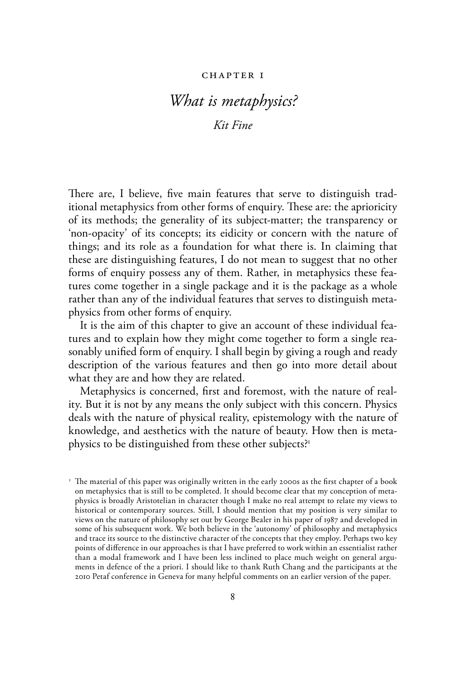## CHAPTER I

# *What is metaphysics? Kit Fine*

There are, I believe, five main features that serve to distinguish traditional metaphysics from other forms of enquiry. These are: the aprioricity of its methods; the generality of its subject-matter; the transparency or ' non-opacity' of its concepts; its eidicity or concern with the nature of things; and its role as a foundation for what there is. In claiming that these are distinguishing features, I do not mean to suggest that no other forms of enquiry possess any of them. Rather, in metaphysics these features come together in a single package and it is the package as a whole rather than any of the individual features that serves to distinguish metaphysics from other forms of enquiry.

 It is the aim of this chapter to give an account of these individual features and to explain how they might come together to form a single reasonably unified form of enquiry. I shall begin by giving a rough and ready description of the various features and then go into more detail about what they are and how they are related.

Metaphysics is concerned, first and foremost, with the nature of reality. But it is not by any means the only subject with this concern. Physics deals with the nature of physical reality, epistemology with the nature of knowledge, and aesthetics with the nature of beauty. How then is metaphysics to be distinguished from these other subjects?<sup>1</sup>

 $\frac{1}{1}$  The material of this paper was originally written in the early 2000s as the first chapter of a book on metaphysics that is still to be completed. It should become clear that my conception of metaphysics is broadly Aristotelian in character though I make no real attempt to relate my views to historical or contemporary sources. Still, I should mention that my position is very similar to views on the nature of philosophy set out by George Bealer in his paper of 1987 and developed in some of his subsequent work. We both believe in the 'autonomy' of philosophy and metaphysics and trace its source to the distinctive character of the concepts that they employ. Perhaps two key points of difference in our approaches is that I have preferred to work within an essentialist rather than a modal framework and I have been less inclined to place much weight on general arguments in defence of the a priori. I should like to thank Ruth Chang and the participants at the 2010 Petaf conference in Geneva for many helpful comments on an earlier version of the paper.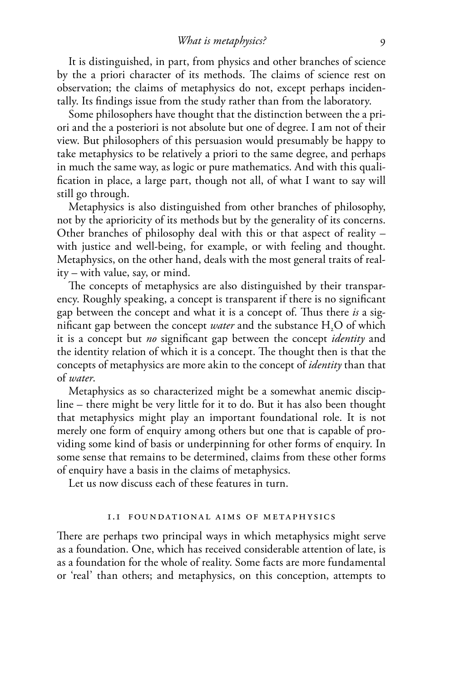It is distinguished, in part, from physics and other branches of science by the a priori character of its methods. The claims of science rest on observation; the claims of metaphysics do not, except perhaps incidentally. Its findings issue from the study rather than from the laboratory.

 Some philosophers have thought that the distinction between the a priori and the a posteriori is not absolute but one of degree. I am not of their view. But philosophers of this persuasion would presumably be happy to take metaphysics to be relatively a priori to the same degree, and perhaps in much the same way, as logic or pure mathematics . And with this qualification in place, a large part, though not all, of what I want to say will still go through.

 Metaphysics is also distinguished from other branches of philosophy, not by the aprioricity of its methods but by the generality of its concerns. Other branches of philosophy deal with this or that aspect of reality – with justice and well-being, for example, or with feeling and thought. Metaphysics, on the other hand, deals with the most general traits of reality – with value, say, or mind.

The concepts of metaphysics are also distinguished by their transparency. Roughly speaking, a concept is transparent if there is no significant gap between the concept and what it is a concept of. Thus there *is* a significant gap between the concept *water* and the substance H<sub>2</sub>O of which it is a concept but *no* significant gap between the concept *identity* and the identity relation of which it is a concept. The thought then is that the concepts of metaphysics are more akin to the concept of *identity* than that of *water* .

 Metaphysics as so characterized might be a somewhat anemic discipline – there might be very little for it to do. But it has also been thought that metaphysics might play an important foundational role. It is not merely one form of enquiry among others but one that is capable of providing some kind of basis or underpinning for other forms of enquiry. In some sense that remains to be determined, claims from these other forms of enquiry have a basis in the claims of metaphysics.

Let us now discuss each of these features in turn.

## 1.1 FOUNDATIONAL AIMS OF METAPHYSICS

There are perhaps two principal ways in which metaphysics might serve as a foundation. One, which has received considerable attention of late, is as a foundation for the whole of reality. Some facts are more fundamental or 'real' than others; and metaphysics, on this conception, attempts to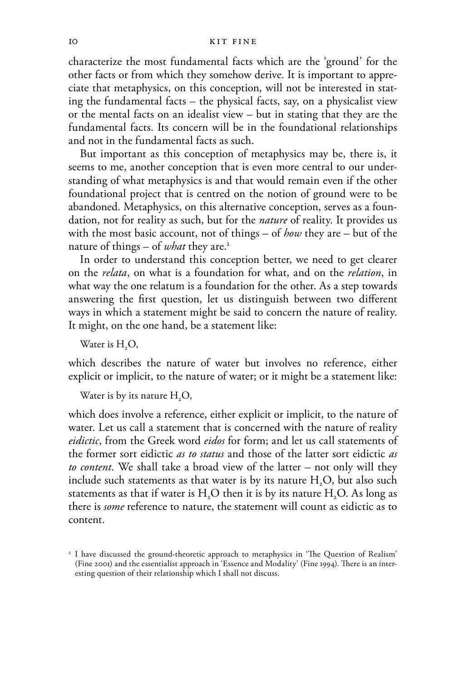characterize the most fundamental facts which are the 'ground' for the other facts or from which they somehow derive. It is important to appreciate that metaphysics, on this conception, will not be interested in stating the fundamental facts – the physical facts, say, on a physicalist view or the mental facts on an idealist view – but in stating that they are the fundamental facts. Its concern will be in the foundational relationships and not in the fundamental facts as such.

 But important as this conception of metaphysics may be, there is, it seems to me, another conception that is even more central to our understanding of what metaphysics is and that would remain even if the other foundational project that is centred on the notion of ground were to be abandoned. Metaphysics, on this alternative conception, serves as a foundation, not for reality as such, but for the *nature* of reality. It provides us with the most basic account, not of things – of *how* they are – but of the nature of things – of *what* they are.<sup>2</sup>

 In order to understand this conception better, we need to get clearer on the *relata* , on what is a foundation for what, and on the *relation* , in what way the one relatum is a foundation for the other. As a step towards answering the first question, let us distinguish between two different ways in which a statement might be said to concern the nature of reality. It might, on the one hand, be a statement like:

Water is  $H<sub>2</sub>O$ ,

 which describes the nature of water but involves no reference, either explicit or implicit, to the nature of water; or it might be a statement like:

```
Water is by its nature H<sub>2</sub>O,
```
 which does involve a reference, either explicit or implicit, to the nature of water. Let us call a statement that is concerned with the nature of reality *eidictic* , from the Greek word *eidos* for form; and let us call statements of the former sort eidictic *as to status* and those of the latter sort eidictic *as to content*. We shall take a broad view of the latter – not only will they include such statements as that water is by its nature  $H<sub>2</sub>O$ , but also such statements as that if water is  $H<sub>2</sub>O$  then it is by its nature  $H<sub>2</sub>O$ . As long as there is *some* reference to nature, the statement will count as eidictic as to content.

<sup>&</sup>lt;sup>2</sup> I have discussed the ground-theoretic approach to metaphysics in 'The Question of Realism' (Fine 2001) and the essentialist approach in 'Essence and Modality' (Fine 1994). There is an interesting question of their relationship which I shall not discuss.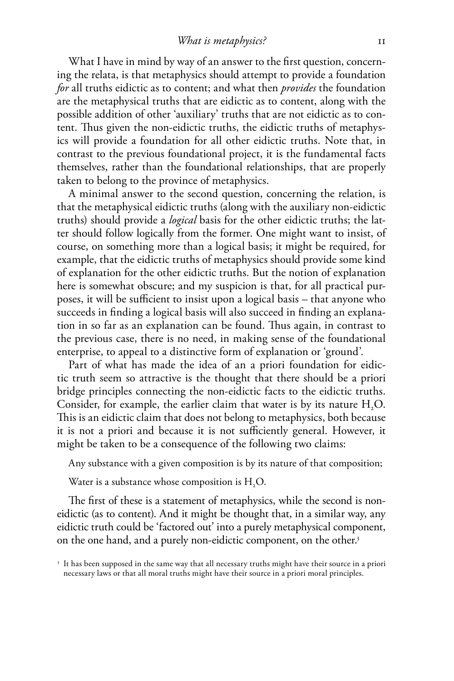What I have in mind by way of an answer to the first question, concerning the relata, is that metaphysics should attempt to provide a foundation *for* all truths eidictic as to content; and what then *provides* the foundation are the metaphysical truths that are eidictic as to content, along with the possible addition of other 'auxiliary' truths that are not eidictic as to content. Thus given the non-eidictic truths, the eidictic truths of metaphysics will provide a foundation for all other eidictic truths. Note that, in contrast to the previous foundational project, it is the fundamental facts themselves, rather than the foundational relationships, that are properly taken to belong to the province of metaphysics.

 A minimal answer to the second question, concerning the relation, is that the metaphysical eidictic truths (along with the auxiliary non-eidictic truths) should provide a *logical* basis for the other eidictic truths; the latter should follow logically from the former. One might want to insist, of course, on something more than a logical basis; it might be required, for example, that the eidictic truths of metaphysics should provide some kind of explanation for the other eidictic truths. But the notion of explanation here is somewhat obscure; and my suspicion is that, for all practical purposes, it will be sufficient to insist upon a logical basis – that anyone who succeeds in finding a logical basis will also succeed in finding an explanation in so far as an explanation can be found. Thus again, in contrast to the previous case, there is no need, in making sense of the foundational enterprise, to appeal to a distinctive form of explanation or 'ground '.

 Part of what has made the idea of an a priori foundation for eidictic truth seem so attractive is the thought that there should be a priori bridge principles connecting the non-eidictic facts to the eidictic truths. Consider, for example, the earlier claim that water is by its nature  $H<sub>2</sub>O$ . This is an eidictic claim that does not belong to metaphysics, both because it is not a priori and because it is not sufficiently general. However, it might be taken to be a consequence of the following two claims:

Any substance with a given composition is by its nature of that composition;

Water is a substance whose composition is  $H<sub>2</sub>O$ .

The first of these is a statement of metaphysics, while the second is noneidictic (as to content). And it might be thought that, in a similar way, any eidictic truth could be 'factored out' into a purely metaphysical component, on the one hand, and a purely non-eidictic component, on the other.<sup>3</sup>

 3 It has been supposed in the same way that all necessary truths might have their source in a priori necessary laws or that all moral truths might have their source in a priori moral principles.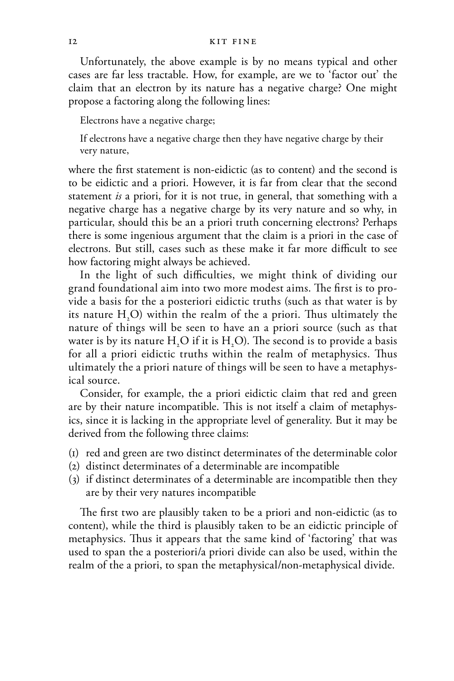Unfortunately, the above example is by no means typical and other cases are far less tractable. How, for example, are we to 'factor out' the claim that an electron by its nature has a negative charge? One might propose a factoring along the following lines:

Electrons have a negative charge;

If electrons have a negative charge then they have negative charge by their very nature,

where the first statement is non-eidictic (as to content) and the second is to be eidictic and a priori. However, it is far from clear that the second statement *is* a priori, for it is not true, in general, that something with a negative charge has a negative charge by its very nature and so why, in particular, should this be an a priori truth concerning electrons? Perhaps there is some ingenious argument that the claim is a priori in the case of electrons. But still, cases such as these make it far more difficult to see how factoring might always be achieved.

In the light of such difficulties, we might think of dividing our grand foundational aim into two more modest aims. The first is to provide a basis for the a posteriori eidictic truths (such as that water is by its nature  $H<sub>2</sub>O$  within the realm of the a priori. Thus ultimately the nature of things will be seen to have an a priori source (such as that water is by its nature  $H$ ,  $O$  if it is  $H$ ,  $O$ ). The second is to provide a basis for all a priori eidictic truths within the realm of metaphysics. Thus ultimately the a priori nature of things will be seen to have a metaphysical source.

 Consider, for example, the a priori eidictic claim that red and green are by their nature incompatible. This is not itself a claim of metaphysics, since it is lacking in the appropriate level of generality. But it may be derived from the following three claims:

- (1) red and green are two distinct determinates of the determinable color
- (2) distinct determinates of a determinable are incompatible
- (3) if distinct determinates of a determinable are incompatible then they are by their very natures incompatible

The first two are plausibly taken to be a priori and non-eidictic (as to content), while the third is plausibly taken to be an eidictic principle of metaphysics. Thus it appears that the same kind of 'factoring' that was used to span the a posteriori/a priori divide can also be used, within the realm of the a priori, to span the metaphysical/non-metaphysical divide.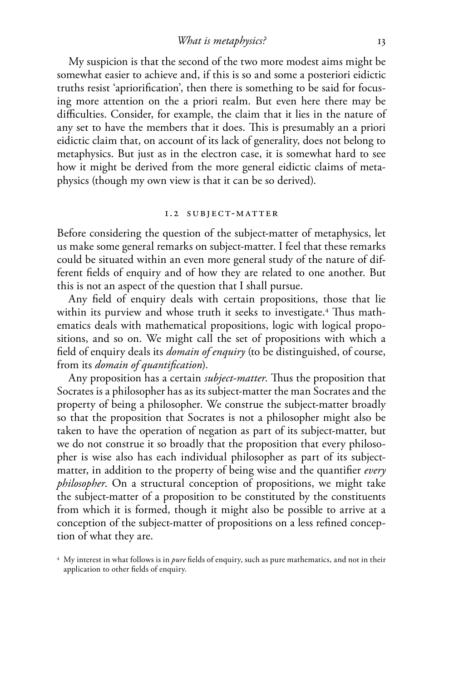*What is metaphysics?* 13

 My suspicion is that the second of the two more modest aims might be somewhat easier to achieve and, if this is so and some a posteriori eidictic truths resist 'apriorification', then there is something to be said for focusing more attention on the a priori realm. But even here there may be difficulties. Consider, for example, the claim that it lies in the nature of any set to have the members that it does. This is presumably an a priori eidictic claim that, on account of its lack of generality, does not belong to metaphysics. But just as in the electron case, it is somewhat hard to see how it might be derived from the more general eidictic claims of metaphysics (though my own view is that it can be so derived).

## 1.2 SUBJECT-MATTER

 Before considering the question of the subject-matter of metaphysics, let us make some general remarks on subject-matter. I feel that these remarks could be situated within an even more general study of the nature of different fields of enquiry and of how they are related to one another. But this is not an aspect of the question that I shall pursue.

Any field of enquiry deals with certain propositions, those that lie within its purview and whose truth it seeks to investigate.4 Thus mathematics deals with mathematical propositions, logic with logical propositions, and so on. We might call the set of propositions with which a field of enquiry deals its *domain of enquiry* (to be distinguished, of course, from its *domain of quantification*).

Any proposition has a certain *subject-matter*. Thus the proposition that Socrates is a philosopher has as its subject-matter the man Socrates and the property of being a philosopher. We construe the subject-matter broadly so that the proposition that Socrates is not a philosopher might also be taken to have the operation of negation as part of its subject-matter, but we do not construe it so broadly that the proposition that every philosopher is wise also has each individual philosopher as part of its subjectmatter, in addition to the property of being wise and the quantifier *every philosopher*. On a structural conception of propositions, we might take the subject-matter of a proposition to be constituted by the constituents from which it is formed, though it might also be possible to arrive at a conception of the subject-matter of propositions on a less refined conception of what they are.

<sup>&</sup>lt;sup>4</sup> My interest in what follows is in *pure* fields of enquiry, such as pure mathematics, and not in their application to other fields of enquiry.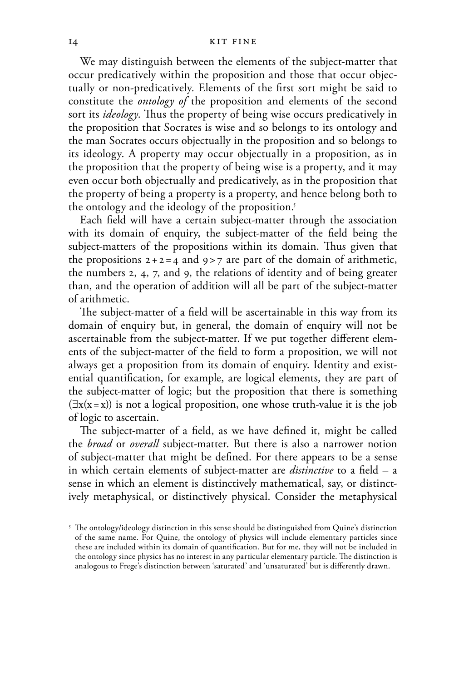We may distinguish between the elements of the subject-matter that occur predicatively within the proposition and those that occur objectually or non-predicatively. Elements of the first sort might be said to constitute the *ontology of* the proposition and elements of the second sort its *ideology*. Thus the property of being wise occurs predicatively in the proposition that Socrates is wise and so belongs to its ontology and the man Socrates occurs objectually in the proposition and so belongs to its ideology. A property may occur objectually in a proposition, as in the proposition that the property of being wise is a property, and it may even occur both objectually and predicatively, as in the proposition that the property of being a property is a property, and hence belong both to the ontology and the ideology of the proposition. $\delta$ 

Each field will have a certain subject-matter through the association with its domain of enquiry, the subject-matter of the field being the subject-matters of the propositions within its domain. Thus given that the propositions  $2+2=4$  and  $9>7$  are part of the domain of arithmetic, the numbers 2, 4, 7, and 9, the relations of identity and of being greater than, and the operation of addition will all be part of the subject-matter of arithmetic.

The subject-matter of a field will be ascertainable in this way from its domain of enquiry but, in general, the domain of enquiry will not be ascertainable from the subject-matter. If we put together different elements of the subject-matter of the field to form a proposition, we will not always get a proposition from its domain of enquiry. Identity and existential quantification, for example, are logical elements, they are part of the subject-matter of logic; but the proposition that there is something  $(\exists x(x=x))$  is not a logical proposition, one whose truth-value it is the job of logic to ascertain.

The subject-matter of a field, as we have defined it, might be called the *broad* or *overall* subject-matter. But there is also a narrower notion of subject-matter that might be defined. For there appears to be a sense in which certain elements of subject-matter are *distinctive* to a field – a sense in which an element is distinctively mathematical, say, or distinctively metaphysical, or distinctively physical. Consider the metaphysical

 $^{\circ}$  The ontology/ideology distinction in this sense should be distinguished from Quine's distinction of the same name. For Quine, the ontology of physics will include elementary particles since these are included within its domain of quantification. But for me, they will not be included in the ontology since physics has no interest in any particular elementary particle. The distinction is analogous to Frege's distinction between 'saturated' and 'unsaturated' but is differently drawn.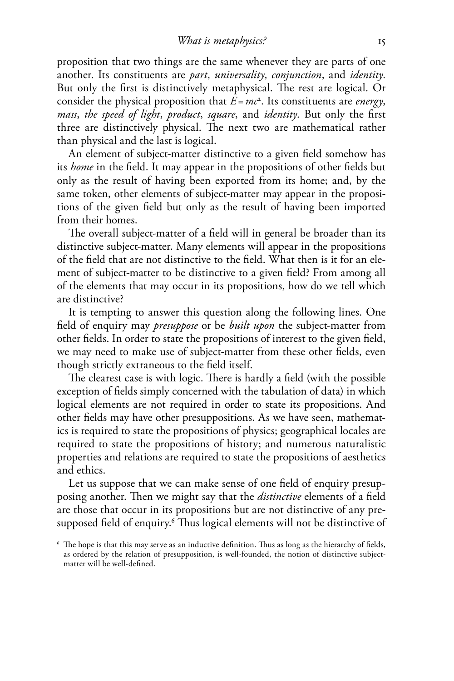*What is metaphysics?* 15

proposition that two things are the same whenever they are parts of one another. Its constituents are *part*, *universality*, *conjunction*, and *identity*. But only the first is distinctively metaphysical. The rest are logical. Or consider the physical proposition that *E* = *mc*<sup>2</sup> . Its constituents are *energy* , *mass, the speed of light, product, square, and <i>identity*. But only the first three are distinctively physical. The next two are mathematical rather than physical and the last is logical.

An element of subject-matter distinctive to a given field somehow has its *home* in the field. It may appear in the propositions of other fields but only as the result of having been exported from its home; and, by the same token, other elements of subject-matter may appear in the propositions of the given field but only as the result of having been imported from their homes.

The overall subject-matter of a field will in general be broader than its distinctive subject-matter. Many elements will appear in the propositions of the field that are not distinctive to the field. What then is it for an element of subject-matter to be distinctive to a given field? From among all of the elements that may occur in its propositions, how do we tell which are distinctive?

 It is tempting to answer this question along the following lines. One field of enquiry may *presuppose* or be *built upon* the subject-matter from other fields. In order to state the propositions of interest to the given field, we may need to make use of subject-matter from these other fields, even though strictly extraneous to the field itself.

The clearest case is with logic. There is hardly a field (with the possible exception of fields simply concerned with the tabulation of data) in which logical elements are not required in order to state its propositions. And other fields may have other presuppositions. As we have seen, mathematics is required to state the propositions of physics; geographical locales are required to state the propositions of history; and numerous naturalistic properties and relations are required to state the propositions of aesthetics and ethics.

Let us suppose that we can make sense of one field of enquiry presupposing another. Then we might say that the *distinctive* elements of a field are those that occur in its propositions but are not distinctive of any presupposed field of enquiry.<sup>6</sup> Thus logical elements will not be distinctive of

 $6$  The hope is that this may serve as an inductive definition. Thus as long as the hierarchy of fields, as ordered by the relation of presupposition, is well-founded, the notion of distinctive subjectmatter will be well-defined.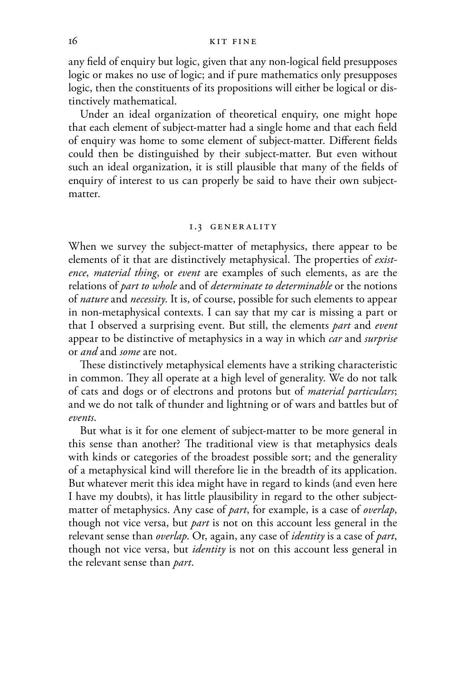any field of enquiry but logic, given that any non-logical field presupposes logic or makes no use of logic; and if pure mathematics only presupposes logic, then the constituents of its propositions will either be logical or distinctively mathematical.

 Under an ideal organization of theoretical enquiry, one might hope that each element of subject-matter had a single home and that each field of enquiry was home to some element of subject-matter. Different fields could then be distinguished by their subject-matter. But even without such an ideal organization, it is still plausible that many of the fields of enquiry of interest to us can properly be said to have their own subjectmatter.

#### 1.3 GENERALITY

 When we survey the subject-matter of metaphysics, there appear to be elements of it that are distinctively metaphysical. The properties of *existence* , *material thing* , or *event* are examples of such elements, as are the relations of *part to whole* and of *determinate to determinable* or the notions of *nature* and *necessity* . It is, of course, possible for such elements to appear in non-metaphysical contexts. I can say that my car is missing a part or that I observed a surprising event. But still, the elements *part* and *event* appear to be distinctive of metaphysics in a way in which *car* and *surprise* or *and* and *some* are not.

These distinctively metaphysical elements have a striking characteristic in common. They all operate at a high level of generality. We do not talk of cats and dogs or of electrons and protons but of *material particulars* ; and we do not talk of thunder and lightning or of wars and battles but of *events* .

 But what is it for one element of subject-matter to be more general in this sense than another? The traditional view is that metaphysics deals with kinds or categories of the broadest possible sort; and the generality of a metaphysical kind will therefore lie in the breadth of its application. But whatever merit this idea might have in regard to kinds (and even here I have my doubts), it has little plausibility in regard to the other subjectmatter of metaphysics. Any case of *part*, for example, is a case of *overlap*, though not vice versa, but *part* is not on this account less general in the relevant sense than *overlap* . Or, again, any case of *identity* is a case of *part* , though not vice versa, but *identity* is not on this account less general in the relevant sense than *part*.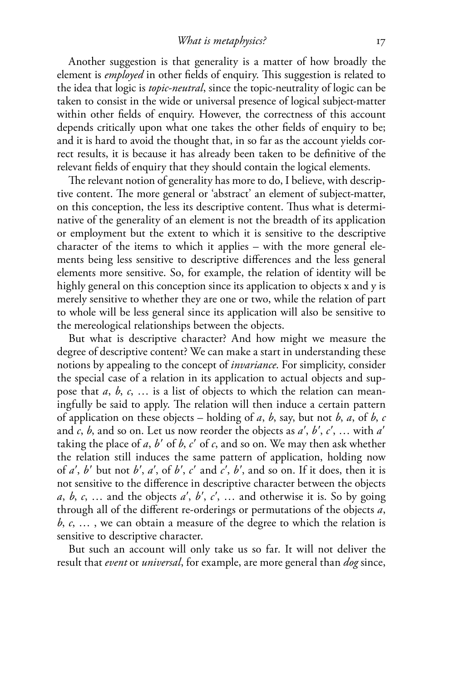Another suggestion is that generality is a matter of how broadly the element is *employed* in other fields of enquiry. This suggestion is related to the idea that logic is *topic-neutral* , since the topic-neutrality of logic can be taken to consist in the wide or universal presence of logical subject-matter within other fields of enquiry. However, the correctness of this account depends critically upon what one takes the other fields of enquiry to be; and it is hard to avoid the thought that, in so far as the account yields correct results, it is because it has already been taken to be definitive of the relevant fields of enquiry that they should contain the logical elements.

The relevant notion of generality has more to do, I believe, with descriptive content. The more general or 'abstract' an element of subject-matter, on this conception, the less its descriptive content. Thus what is determinative of the generality of an element is not the breadth of its application or employment but the extent to which it is sensitive to the descriptive character of the items to which it applies – with the more general elements being less sensitive to descriptive differences and the less general elements more sensitive. So, for example, the relation of identity will be highly general on this conception since its application to objects x and y is merely sensitive to whether they are one or two, while the relation of part to whole will be less general since its application will also be sensitive to the mereological relationships between the objects.

 But what is descriptive character? And how might we measure the degree of descriptive content? We can make a start in understanding these notions by appealing to the concept of *invariance* . For simplicity, consider the special case of a relation in its application to actual objects and suppose that *a*, *b*, *c*, ... is a list of objects to which the relation can meaningfully be said to apply. The relation will then induce a certain pattern of application on these objects – holding of *a*, *b*, say, but not *b*, *a*, of *b*, *c* and  $c, b$ , and so on. Let us now reorder the objects as  $a', b', c', \ldots$  with  $a'$ taking the place of  $a$ ,  $b'$  of  $b$ ,  $c'$  of  $c$ , and so on. We may then ask whether the relation still induces the same pattern of application, holding now of  $a'$ ,  $b'$  but not  $b'$ ,  $a'$ , of  $b'$ ,  $c'$  and  $c'$ ,  $b'$ , and so on. If it does, then it is not sensitive to the difference in descriptive character between the objects *a*, *b*, *c*, ... and the objects *a'*, *b'*, *c'*, ... and otherwise it is. So by going through all of the different re-orderings or permutations of the objects *a*, *b*, *c*, ..., we can obtain a measure of the degree to which the relation is sensitive to descriptive character.

 But such an account will only take us so far. It will not deliver the result that *event* or *universal* , for example, are more general than *dog* since,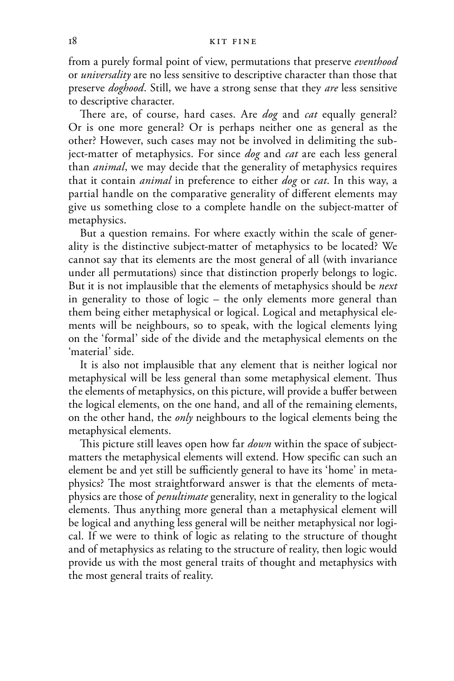from a purely formal point of view, permutations that preserve *eventhood* or *universality* are no less sensitive to descriptive character than those that preserve *doghood* . Still, we have a strong sense that they *are* less sensitive to descriptive character.

There are, of course, hard cases. Are *dog* and *cat* equally general? Or is one more general? Or is perhaps neither one as general as the other? However, such cases may not be involved in delimiting the subject-matter of metaphysics. For since *dog* and *cat* are each less general than *animal*, we may decide that the generality of metaphysics requires that it contain *animal* in preference to either *dog* or *cat*. In this way, a partial handle on the comparative generality of different elements may give us something close to a complete handle on the subject-matter of metaphysics.

 But a question remains. For where exactly within the scale of generality is the distinctive subject-matter of metaphysics to be located? We cannot say that its elements are the most general of all (with invariance under all permutations) since that distinction properly belongs to logic. But it is not implausible that the elements of metaphysics should be *next* in generality to those of logic – the only elements more general than them being either metaphysical or logical. Logical and metaphysical elements will be neighbours, so to speak, with the logical elements lying on the 'formal' side of the divide and the metaphysical elements on the 'material' side.

 It is also not implausible that any element that is neither logical nor metaphysical will be less general than some metaphysical element. Thus the elements of metaphysics, on this picture, will provide a buffer between the logical elements, on the one hand, and all of the remaining elements, on the other hand, the *only* neighbours to the logical elements being the metaphysical elements.

This picture still leaves open how far *down* within the space of subjectmatters the metaphysical elements will extend. How specific can such an element be and yet still be sufficiently general to have its 'home' in metaphysics? The most straightforward answer is that the elements of metaphysics are those of *penultimate* generality, next in generality to the logical elements. Thus anything more general than a metaphysical element will be logical and anything less general will be neither metaphysical nor logical. If we were to think of logic as relating to the structure of thought and of metaphysics as relating to the structure of reality, then logic would provide us with the most general traits of thought and metaphysics with the most general traits of reality.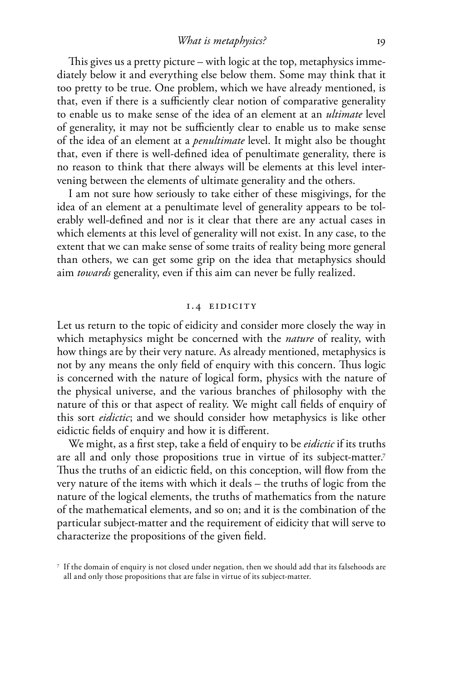*What is metaphysics?* 19

This gives us a pretty picture – with logic at the top, metaphysics immediately below it and everything else below them. Some may think that it too pretty to be true. One problem, which we have already mentioned, is that, even if there is a sufficiently clear notion of comparative generality to enable us to make sense of the idea of an element at an *ultimate* level of generality, it may not be sufficiently clear to enable us to make sense of the idea of an element at a *penultimate* level. It might also be thought that, even if there is well-defined idea of penultimate generality, there is no reason to think that there always will be elements at this level intervening between the elements of ultimate generality and the others.

 I am not sure how seriously to take either of these misgivings, for the idea of an element at a penultimate level of generality appears to be tolerably well-defined and nor is it clear that there are any actual cases in which elements at this level of generality will not exist. In any case, to the extent that we can make sense of some traits of reality being more general than others, we can get some grip on the idea that metaphysics should aim *towards* generality, even if this aim can never be fully realized.

## 1.4 eidicit y

 Let us return to the topic of eidicity and consider more closely the way in which metaphysics might be concerned with the *nature* of reality, with how things are by their very nature. As already mentioned, metaphysics is not by any means the only field of enquiry with this concern. Thus logic is concerned with the nature of logical form, physics with the nature of the physical universe, and the various branches of philosophy with the nature of this or that aspect of reality. We might call fields of enquiry of this sort *eidictic*; and we should consider how metaphysics is like other eidictic fields of enquiry and how it is different.

We might, as a first step, take a field of enquiry to be *eidictic* if its truths are all and only those propositions true in virtue of its subject-matter.<sup>7</sup> Thus the truths of an eidictic field, on this conception, will flow from the very nature of the items with which it deals – the truths of logic from the nature of the logical elements, the truths of mathematics from the nature of the mathematical elements, and so on; and it is the combination of the particular subject-matter and the requirement of eidicity that will serve to characterize the propositions of the given field.

<sup>7</sup> If the domain of enquiry is not closed under negation, then we should add that its falsehoods are all and only those propositions that are false in virtue of its subject-matter.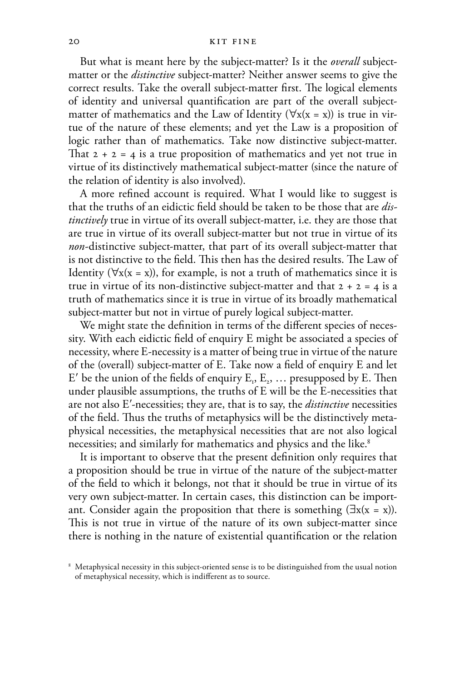But what is meant here by the subject-matter? Is it the *overall* subjectmatter or the *distinctive* subject-matter? Neither answer seems to give the correct results. Take the overall subject-matter first. The logical elements of identity and universal quantification are part of the overall subjectmatter of mathematics and the Law of Identity ( $\forall x(x = x)$ ) is true in virtue of the nature of these elements; and yet the Law is a proposition of logic rather than of mathematics. Take now distinctive subject-matter. That  $2 + 2 = 4$  is a true proposition of mathematics and yet not true in virtue of its distinctively mathematical subject-matter (since the nature of the relation of identity is also involved).

A more refined account is required. What I would like to suggest is that the truths of an eidictic field should be taken to be those that are *distinctively* true in virtue of its overall subject-matter, i.e. they are those that are true in virtue of its overall subject-matter but not true in virtue of its *non*-distinctive subject-matter, that part of its overall subject-matter that is not distinctive to the field. This then has the desired results. The Law of Identity ( $\forall x(x = x)$ ), for example, is not a truth of mathematics since it is true in virtue of its non-distinctive subject-matter and that  $2 + 2 = 4$  is a truth of mathematics since it is true in virtue of its broadly mathematical subject-matter but not in virtue of purely logical subject-matter.

We might state the definition in terms of the different species of necessity. With each eidictic field of enquiry E might be associated a species of necessity, where E-necessity is a matter of being true in virtue of the nature of the (overall) subject-matter of E. Take now a field of enquiry E and let E' be the union of the fields of enquiry  $E_1, E_2, \ldots$  presupposed by E. Then under plausible assumptions, the truths of E will be the E-necessities that are not also E'-necessities; they are, that is to say, the *distinctive* necessities of the field. Thus the truths of metaphysics will be the distinctively metaphysical necessities , the metaphysical necessities that are not also logical necessities; and similarly for mathematics and physics and the like.<sup>8</sup>

It is important to observe that the present definition only requires that a proposition should be true in virtue of the nature of the subject-matter of the field to which it belongs, not that it should be true in virtue of its very own subject-matter. In certain cases, this distinction can be important. Consider again the proposition that there is something  $(\exists x(x = x))$ . This is not true in virtue of the nature of its own subject-matter since there is nothing in the nature of existential quantification or the relation

 8 Metaphysical necessity in this subject-oriented sense is to be distinguished from the usual notion of metaphysical necessity, which is indifferent as to source.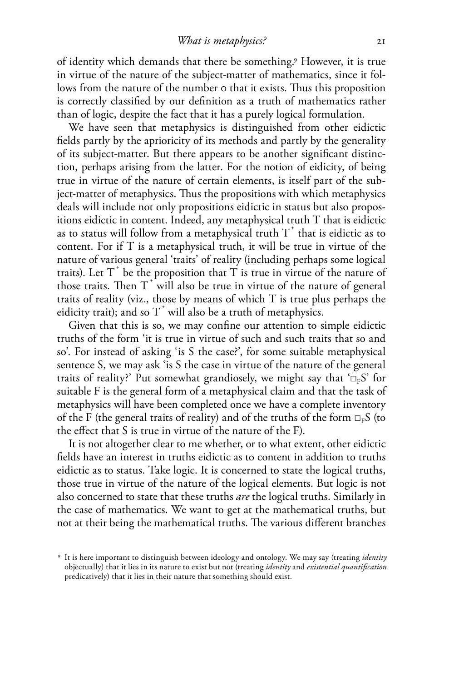of identity which demands that there be something. 9 However, it is true in virtue of the nature of the subject-matter of mathematics , since it follows from the nature of the number o that it exists. Thus this proposition is correctly classified by our definition as a truth of mathematics rather than of logic, despite the fact that it has a purely logical formulation.

 We have seen that metaphysics is distinguished from other eidictic fields partly by the aprioricity of its methods and partly by the generality of its subject-matter. But there appears to be another significant distinction, perhaps arising from the latter. For the notion of eidicity, of being true in virtue of the nature of certain elements, is itself part of the subject-matter of metaphysics. Thus the propositions with which metaphysics deals will include not only propositions eidictic in status but also propositions eidictic in content. Indeed, any metaphysical truth T that is eidictic as to status will follow from a metaphysical truth  $\text{T}^\ast$  that is eidictic as to content. For if T is a metaphysical truth, it will be true in virtue of the nature of various general 'traits' of reality (including perhaps some logical traits). Let  $T^*$  be the proposition that  $T$  is true in virtue of the nature of those traits. Then  $T^*$  will also be true in virtue of the nature of general traits of reality (viz., those by means of which T is true plus perhaps the eidicity trait); and so  $T^*$  will also be a truth of metaphysics.

Given that this is so, we may confine our attention to simple eidictic truths of the form 'it is true in virtue of such and such traits that so and so'. For instead of asking 'is S the case?', for some suitable metaphysical sentence S, we may ask 'is S the case in virtue of the nature of the general traits of reality?' Put somewhat grandiosely, we might say that  $\Box_E S$  for suitable F is the general form of a metaphysical claim and that the task of metaphysics will have been completed once we have a complete inventory of the F (the general traits of reality) and of the truths of the form  $\Box_F S$  (to the effect that S is true in virtue of the nature of the  $F$ ).

 It is not altogether clear to me whether, or to what extent, other eidictic fields have an interest in truths eidictic as to content in addition to truths eidictic as to status. Take logic. It is concerned to state the logical truths, those true in virtue of the nature of the logical elements. But logic is not also concerned to state that these truths *are* the logical truths. Similarly in the case of mathematics . We want to get at the mathematical truths, but not at their being the mathematical truths. The various different branches

<sup>9</sup> It is here important to distinguish between ideology and ontology. We may say (treating *identity* objectually) that it lies in its nature to exist but not (treating *identity* and *existential quantification* predicatively) that it lies in their nature that something should exist.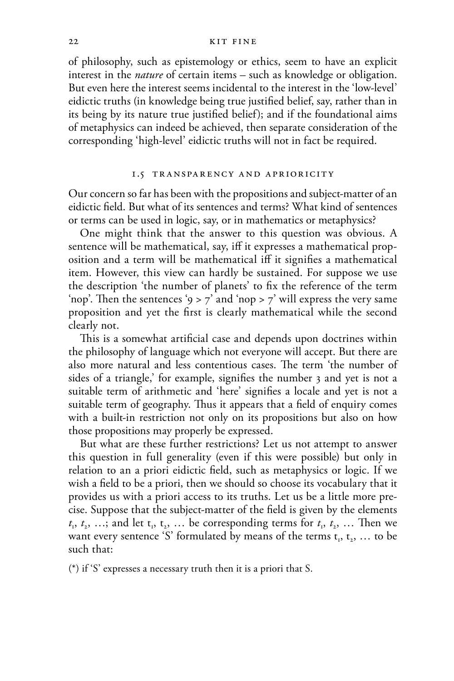of philosophy, such as epistemology or ethics, seem to have an explicit interest in the *nature* of certain items – such as knowledge or obligation. But even here the interest seems incidental to the interest in the 'low-level' eidictic truths (in knowledge being true justified belief, say, rather than in its being by its nature true justified belief); and if the foundational aims of metaphysics can indeed be achieved, then separate consideration of the corresponding 'high-level' eidictic truths will not in fact be required.

## 1.5 TRANSPARENCY AND APRIORICITY

 Our concern so far has been with the propositions and subject-matter of an eidictic field. But what of its sentences and terms? What kind of sentences or terms can be used in logic, say, or in mathematics or metaphysics?

 One might think that the answer to this question was obvious. A sentence will be mathematical, say, iff it expresses a mathematical proposition and a term will be mathematical iff it signifies a mathematical item. However, this view can hardly be sustained. For suppose we use the description 'the number of planets' to fix the reference of the term 'nop'. Then the sentences '9 >  $7'$  and 'nop >  $7'$  will express the very same proposition and yet the first is clearly mathematical while the second clearly not.

This is a somewhat artificial case and depends upon doctrines within the philosophy of language which not everyone will accept. But there are also more natural and less contentious cases. The term 'the number of sides of a triangle,' for example, signifies the number 3 and yet is not a suitable term of arithmetic and 'here' signifies a locale and yet is not a suitable term of geography. Thus it appears that a field of enquiry comes with a built-in restriction not only on its propositions but also on how those propositions may properly be expressed.

 But what are these further restrictions? Let us not attempt to answer this question in full generality (even if this were possible) but only in relation to an a priori eidictic field, such as metaphysics or logic. If we wish a field to be a priori, then we should so choose its vocabulary that it provides us with a priori access to its truths. Let us be a little more precise. Suppose that the subject-matter of the field is given by the elements  $t_1, t_2, \ldots$ ; and let  $t_1, t_2, \ldots$  be corresponding terms for  $t_1, t_2, \ldots$  Then we want every sentence 'S' formulated by means of the terms  $t_1, t_2, \ldots$  to be such that:

(\*) if 'S' expresses a necessary truth then it is a priori that S.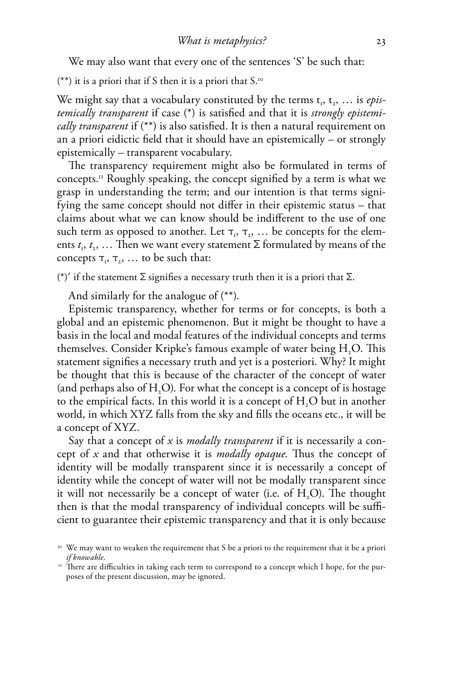We may also want that every one of the sentences 'S' be such that:

(\*\*) it is a priori that if S then it is a priori that  $S^{10}$ 

We might say that a vocabulary constituted by the terms  $t_1, t_2, \ldots$  is *epistemically transparent* if case (\*) is satisfied and that it is *strongly epistemically transparent* if (\*\*) is also satisfied. It is then a natural requirement on an a priori eidictic field that it should have an epistemically  $-$  or strongly epistemically – transparent vocabulary.

The transparency requirement might also be formulated in terms of concepts.<sup>II</sup> Roughly speaking, the concept signified by a term is what we grasp in understanding the term; and our intention is that terms signifying the same concept should not differ in their epistemic status  $-$  that claims about what we can know should be indifferent to the use of one such term as opposed to another. Let  $\tau_{1}$ ,  $\tau_{2}$ , ... be concepts for the elements  $t_1, t_2, \ldots$  Then we want every statement  $\Sigma$  formulated by means of the concepts  $\tau_1$ ,  $\tau_2$ , ... to be such that:

(\*)' if the statement  $\Sigma$  signifies a necessary truth then it is a priori that  $\Sigma$ .

And similarly for the analogue of (\*\*).

 Epistemic transparency, whether for terms or for concepts, is both a global and an epistemic phenomenon. But it might be thought to have a basis in the local and modal features of the individual concepts and terms themselves. Consider Kripke's famous example of water being H,O. This statement signifies a necessary truth and yet is a posteriori. Why? It might be thought that this is because of the character of the concept of water (and perhaps also of  $H<sub>1</sub>O$ ). For what the concept is a concept of is hostage to the empirical facts. In this world it is a concept of  $H<sub>2</sub>O$  but in another world, in which XYZ falls from the sky and fills the oceans etc., it will be a concept of XYZ.

 Say that a concept of *x* is *modally transparent* if it is necessarily a concept of *x* and that otherwise it is *modally opaque*. Thus the concept of identity will be modally transparent since it is necessarily a concept of identity while the concept of water will not be modally transparent since it will not necessarily be a concept of water (i.e. of  $H$ , $O$ ). The thought then is that the modal transparency of individual concepts will be sufficient to guarantee their epistemic transparency and that it is only because

 $10<sup>10</sup>$  We may want to weaken the requirement that S be a priori to the requirement that it be a priori *if knowable* .

<sup>&</sup>lt;sup>11</sup> There are difficulties in taking each term to correspond to a concept which I hope, for the purposes of the present discussion, may be ignored.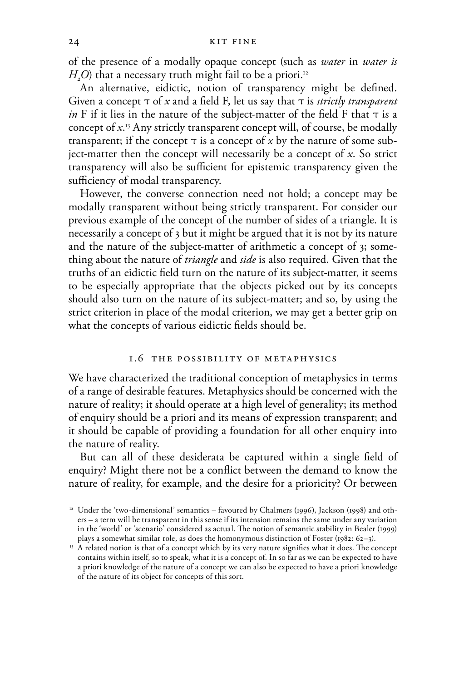of the presence of a modally opaque concept (such as *water* in *water is*   $H<sub>2</sub>O$  that a necessary truth might fail to be a priori.<sup>12</sup>

An alternative, eidictic, notion of transparency might be defined. Given a concept  $\tau$  of x and a field F, let us say that  $\tau$  is *strictly transparent in* F if it lies in the nature of the subject-matter of the field F that  $\tau$  is a concept of *x*.<sup>13</sup> Any strictly transparent concept will, of course, be modally transparent; if the concept  $\tau$  is a concept of *x* by the nature of some subject-matter then the concept will necessarily be a concept of *x*. So strict transparency will also be sufficient for epistemic transparency given the sufficiency of modal transparency.

 However, the converse connection need not hold; a concept may be modally transparent without being strictly transparent. For consider our previous example of the concept of the number of sides of a triangle. It is necessarily a concept of 3 but it might be argued that it is not by its nature and the nature of the subject-matter of arithmetic a concept of 3; something about the nature of *triangle* and *side* is also required. Given that the truths of an eidictic field turn on the nature of its subject-matter, it seems to be especially appropriate that the objects picked out by its concepts should also turn on the nature of its subject-matter; and so, by using the strict criterion in place of the modal criterion, we may get a better grip on what the concepts of various eidictic fields should be.

## 1.6 THE POSSIBILITY OF METAPHYSICS

 We have characterized the traditional conception of metaphysics in terms of a range of desirable features. Metaphysics should be concerned with the nature of reality; it should operate at a high level of generality; its method of enquiry should be a priori and its means of expression transparent; and it should be capable of providing a foundation for all other enquiry into the nature of reality.

But can all of these desiderata be captured within a single field of enquiry? Might there not be a conflict between the demand to know the nature of reality, for example, and the desire for a prioricity? Or between

 $12$  Under the 'two-dimensional' semantics – favoured by Chalmers (1996), Jackson (1998) and others – a term will be transparent in this sense if its intension remains the same under any variation in the 'world' or 'scenario' considered as actual. The notion of semantic stability in Bealer (1999) plays a somewhat similar role, as does the homonymous distinction of Foster (1982: 62-3).

<sup>&</sup>lt;sup>13</sup> A related notion is that of a concept which by its very nature signifies what it does. The concept contains within itself, so to speak, what it is a concept of. In so far as we can be expected to have a priori knowledge of the nature of a concept we can also be expected to have a priori knowledge of the nature of its object for concepts of this sort.